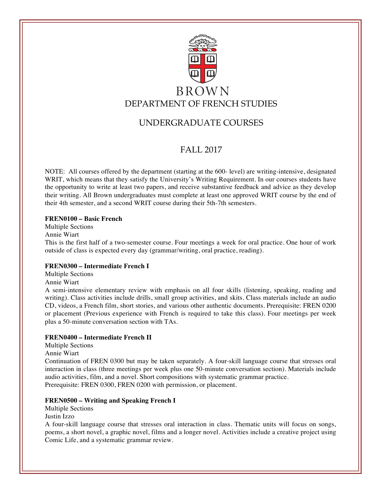

# UNDERGRADUATE COURSES

# FALL 2017

NOTE: All courses offered by the department (starting at the 600- level) are writing-intensive, designated WRIT, which means that they satisfy the University's Writing Requirement. In our courses students have the opportunity to write at least two papers, and receive substantive feedback and advice as they develop their writing. All Brown undergraduates must complete at least one approved WRIT course by the end of their 4th semester, and a second WRIT course during their 5th-7th semesters.

# **FREN0100 – Basic French**

Multiple Sections Annie Wiart This is the first half of a two-semester course. Four meetings a week for oral practice. One hour of work outside of class is expected every day (grammar/writing, oral practice, reading).

# **FREN0300 – Intermediate French I**

Multiple Sections

Annie Wiart

A semi-intensive elementary review with emphasis on all four skills (listening, speaking, reading and writing). Class activities include drills, small group activities, and skits. Class materials include an audio CD, videos, a French film, short stories, and various other authentic documents. Prerequisite: FREN 0200 or placement (Previous experience with French is required to take this class). Four meetings per week plus a 50-minute conversation section with TAs.

# **FREN0400 – Intermediate French II**

Multiple Sections

Annie Wiart

Continuation of FREN 0300 but may be taken separately. A four-skill language course that stresses oral interaction in class (three meetings per week plus one 50-minute conversation section). Materials include audio activities, film, and a novel. Short compositions with systematic grammar practice. Prerequisite: FREN 0300, FREN 0200 with permission, or placement.

# **FREN0500 – Writing and Speaking French I**

Multiple Sections Justin Izzo

A four-skill language course that stresses oral interaction in class. Thematic units will focus on songs, poems, a short novel, a graphic novel, films and a longer novel. Activities include a creative project using Comic Life, and a systematic grammar review.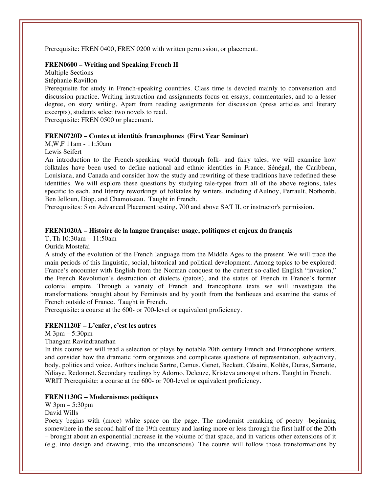Prerequisite: FREN 0400, FREN 0200 with written permission, or placement.

#### **FREN0600 – Writing and Speaking French II**

Multiple Sections Stéphanie Ravillon

Prerequisite for study in French-speaking countries. Class time is devoted mainly to conversation and discussion practice. Writing instruction and assignments focus on essays, commentaries, and to a lesser degree, on story writing. Apart from reading assignments for discussion (press articles and literary excerpts), students select two novels to read.

Prerequisite: FREN 0500 or placement.

#### **FREN0720D – Contes et identités francophones (First Year Seminar)**

M,W,F 11am - 11:50am

Lewis Seifert

An introduction to the French-speaking world through folk- and fairy tales, we will examine how folktales have been used to define national and ethnic identities in France, Sénégal, the Caribbean, Louisiana, and Canada and consider how the study and rewriting of these traditions have redefined these identities. We will explore these questions by studying tale-types from all of the above regions, tales specific to each, and literary reworkings of folktales by writers, including d'Aulnoy, Perrault, Nothomb, Ben Jelloun, Diop, and Chamoiseau. Taught in French.

Prerequisites: 5 on Advanced Placement testing, 700 and above SAT II, or instructor's permission.

## **FREN1020A – Histoire de la langue française: usage, politiques et enjeux du français**

T, Th 10:30am – 11:50am

Ourida Mostefai

A study of the evolution of the French language from the Middle Ages to the present. We will trace the main periods of this linguistic, social, historical and political development. Among topics to be explored: France's encounter with English from the Norman conquest to the current so-called English "invasion," the French Revolution's destruction of dialects (patois), and the status of French in France's former colonial empire. Through a variety of French and francophone texts we will investigate the transformations brought about by Feminists and by youth from the banlieues and examine the status of French outside of France. Taught in French.

Prerequisite: a course at the 600- or 700-level or equivalent proficiency.

## **FREN1120F – L'enfer, c'est les autres**

M 3pm – 5:30pm

Thangam Ravindranathan

In this course we will read a selection of plays by notable 20th century French and Francophone writers, and consider how the dramatic form organizes and complicates questions of representation, subjectivity, body, politics and voice. Authors include Sartre, Camus, Genet, Beckett, Césaire, Koltès, Duras, Sarraute, Ndiaye, Redonnet. Secondary readings by Adorno, Deleuze, Kristeva amongst others. Taught in French. WRIT Prerequisite: a course at the 600- or 700-level or equivalent proficiency.

## **FREN1130G – Modernismes poétiques**

W 3pm – 5:30pm

David Wills

Poetry begins with (more) white space on the page. The modernist remaking of poetry -beginning somewhere in the second half of the 19th century and lasting more or less through the first half of the 20th – brought about an exponential increase in the volume of that space, and in various other extensions of it (e.g. into design and drawing, into the unconscious). The course will follow those transformations by